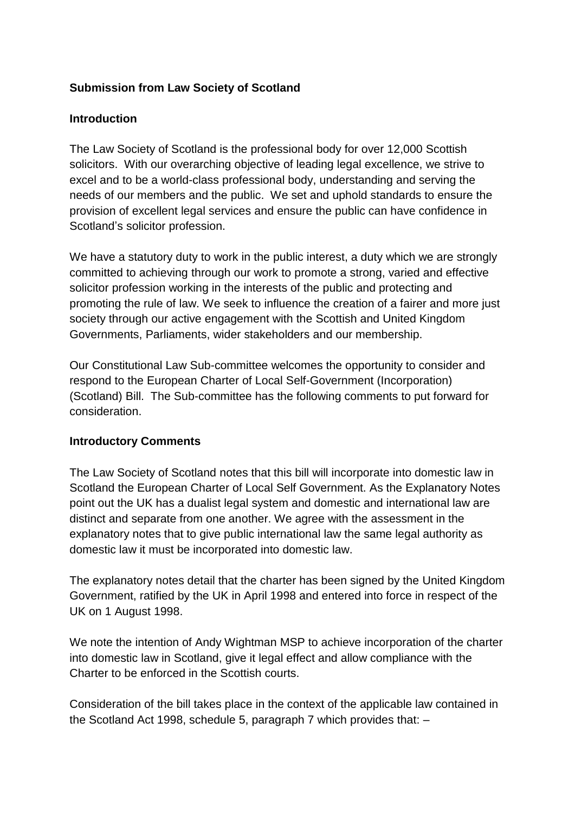## **Submission from Law Society of Scotland**

#### **Introduction**

The Law Society of Scotland is the professional body for over 12,000 Scottish solicitors. With our overarching objective of leading legal excellence, we strive to excel and to be a world-class professional body, understanding and serving the needs of our members and the public. We set and uphold standards to ensure the provision of excellent legal services and ensure the public can have confidence in Scotland's solicitor profession.

We have a statutory duty to work in the public interest, a duty which we are strongly committed to achieving through our work to promote a strong, varied and effective solicitor profession working in the interests of the public and protecting and promoting the rule of law. We seek to influence the creation of a fairer and more just society through our active engagement with the Scottish and United Kingdom Governments, Parliaments, wider stakeholders and our membership.

Our Constitutional Law Sub-committee welcomes the opportunity to consider and respond to the European Charter of Local Self-Government (Incorporation) (Scotland) Bill. The Sub-committee has the following comments to put forward for consideration.

#### **Introductory Comments**

The Law Society of Scotland notes that this bill will incorporate into domestic law in Scotland the European Charter of Local Self Government. As the Explanatory Notes point out the UK has a dualist legal system and domestic and international law are distinct and separate from one another. We agree with the assessment in the explanatory notes that to give public international law the same legal authority as domestic law it must be incorporated into domestic law.

The explanatory notes detail that the charter has been signed by the United Kingdom Government, ratified by the UK in April 1998 and entered into force in respect of the UK on 1 August 1998.

We note the intention of Andy Wightman MSP to achieve incorporation of the charter into domestic law in Scotland, give it legal effect and allow compliance with the Charter to be enforced in the Scottish courts.

Consideration of the bill takes place in the context of the applicable law contained in the Scotland Act 1998, schedule 5, paragraph 7 which provides that: –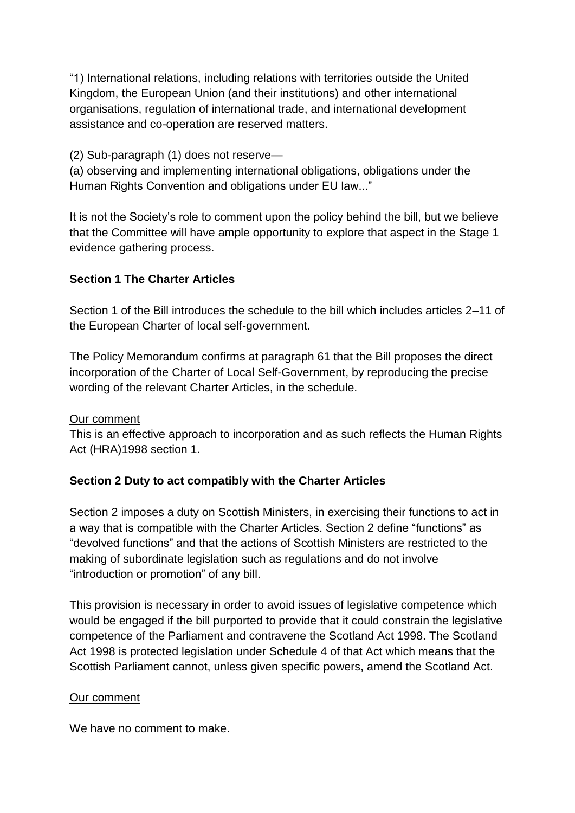"1) International relations, including relations with territories outside the United Kingdom, the European Union (and their institutions) and other international organisations, regulation of international trade, and international development assistance and co-operation are reserved matters.

(2) Sub-paragraph (1) does not reserve—

(a) observing and implementing international obligations, obligations under the Human Rights Convention and obligations under EU law..."

It is not the Society's role to comment upon the policy behind the bill, but we believe that the Committee will have ample opportunity to explore that aspect in the Stage 1 evidence gathering process.

## **Section 1 The Charter Articles**

Section 1 of the Bill introduces the schedule to the bill which includes articles 2–11 of the European Charter of local self-government.

The Policy Memorandum confirms at paragraph 61 that the Bill proposes the direct incorporation of the Charter of Local Self-Government, by reproducing the precise wording of the relevant Charter Articles, in the schedule.

### Our comment

This is an effective approach to incorporation and as such reflects the Human Rights Act (HRA)1998 section 1.

### **Section 2 Duty to act compatibly with the Charter Articles**

Section 2 imposes a duty on Scottish Ministers, in exercising their functions to act in a way that is compatible with the Charter Articles. Section 2 define "functions" as "devolved functions" and that the actions of Scottish Ministers are restricted to the making of subordinate legislation such as regulations and do not involve "introduction or promotion" of any bill.

This provision is necessary in order to avoid issues of legislative competence which would be engaged if the bill purported to provide that it could constrain the legislative competence of the Parliament and contravene the Scotland Act 1998. The Scotland Act 1998 is protected legislation under Schedule 4 of that Act which means that the Scottish Parliament cannot, unless given specific powers, amend the Scotland Act.

#### Our comment

We have no comment to make.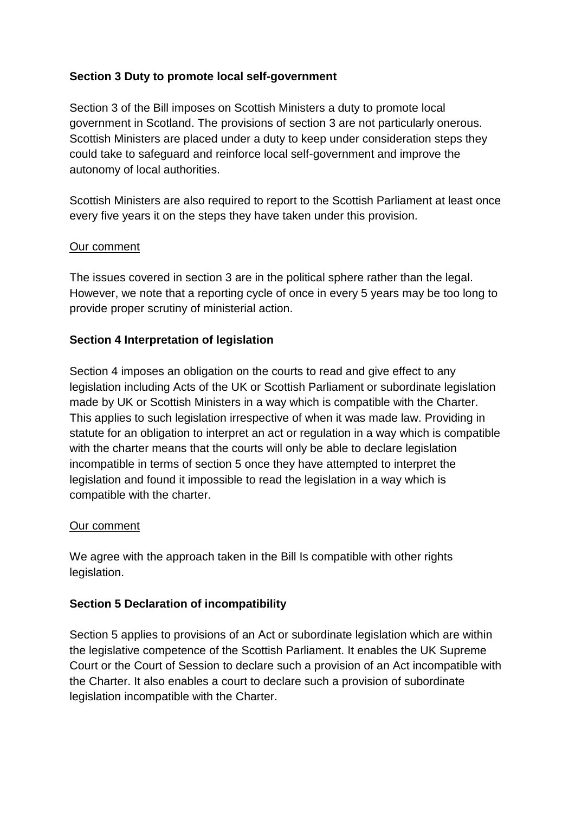## **Section 3 Duty to promote local self-government**

Section 3 of the Bill imposes on Scottish Ministers a duty to promote local government in Scotland. The provisions of section 3 are not particularly onerous. Scottish Ministers are placed under a duty to keep under consideration steps they could take to safeguard and reinforce local self-government and improve the autonomy of local authorities.

Scottish Ministers are also required to report to the Scottish Parliament at least once every five years it on the steps they have taken under this provision.

### Our comment

The issues covered in section 3 are in the political sphere rather than the legal. However, we note that a reporting cycle of once in every 5 years may be too long to provide proper scrutiny of ministerial action.

### **Section 4 Interpretation of legislation**

Section 4 imposes an obligation on the courts to read and give effect to any legislation including Acts of the UK or Scottish Parliament or subordinate legislation made by UK or Scottish Ministers in a way which is compatible with the Charter. This applies to such legislation irrespective of when it was made law. Providing in statute for an obligation to interpret an act or regulation in a way which is compatible with the charter means that the courts will only be able to declare legislation incompatible in terms of section 5 once they have attempted to interpret the legislation and found it impossible to read the legislation in a way which is compatible with the charter.

### Our comment

We agree with the approach taken in the Bill Is compatible with other rights legislation.

### **Section 5 Declaration of incompatibility**

Section 5 applies to provisions of an Act or subordinate legislation which are within the legislative competence of the Scottish Parliament. It enables the UK Supreme Court or the Court of Session to declare such a provision of an Act incompatible with the Charter. It also enables a court to declare such a provision of subordinate legislation incompatible with the Charter.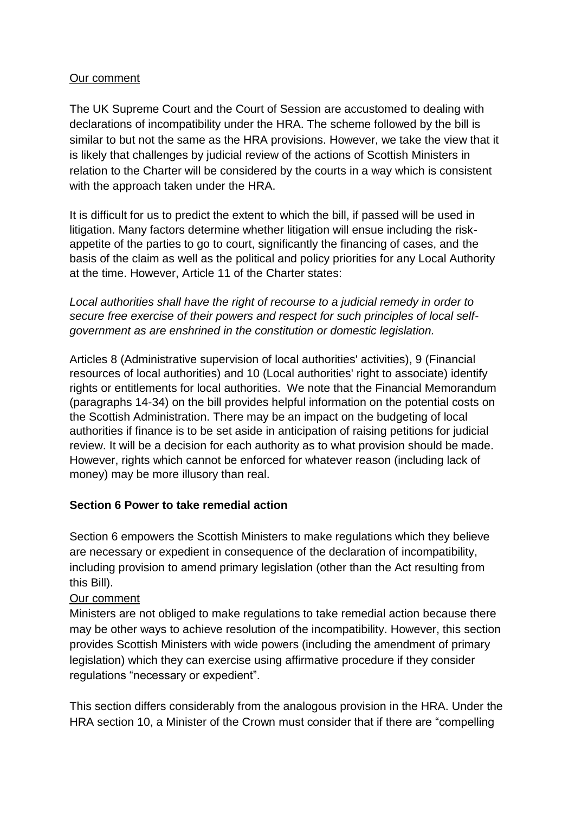### Our comment

The UK Supreme Court and the Court of Session are accustomed to dealing with declarations of incompatibility under the HRA. The scheme followed by the bill is similar to but not the same as the HRA provisions. However, we take the view that it is likely that challenges by judicial review of the actions of Scottish Ministers in relation to the Charter will be considered by the courts in a way which is consistent with the approach taken under the HRA.

It is difficult for us to predict the extent to which the bill, if passed will be used in litigation. Many factors determine whether litigation will ensue including the riskappetite of the parties to go to court, significantly the financing of cases, and the basis of the claim as well as the political and policy priorities for any Local Authority at the time. However, Article 11 of the Charter states:

*Local authorities shall have the right of recourse to a judicial remedy in order to secure free exercise of their powers and respect for such principles of local selfgovernment as are enshrined in the constitution or domestic legislation.* 

Articles 8 (Administrative supervision of local authorities' activities), 9 (Financial resources of local authorities) and 10 (Local authorities' right to associate) identify rights or entitlements for local authorities. We note that the Financial Memorandum (paragraphs 14-34) on the bill provides helpful information on the potential costs on the Scottish Administration. There may be an impact on the budgeting of local authorities if finance is to be set aside in anticipation of raising petitions for judicial review. It will be a decision for each authority as to what provision should be made. However, rights which cannot be enforced for whatever reason (including lack of money) may be more illusory than real.

### **Section 6 Power to take remedial action**

Section 6 empowers the Scottish Ministers to make regulations which they believe are necessary or expedient in consequence of the declaration of incompatibility, including provision to amend primary legislation (other than the Act resulting from this Bill).

### Our comment

Ministers are not obliged to make regulations to take remedial action because there may be other ways to achieve resolution of the incompatibility. However, this section provides Scottish Ministers with wide powers (including the amendment of primary legislation) which they can exercise using affirmative procedure if they consider regulations "necessary or expedient".

This section differs considerably from the analogous provision in the HRA. Under the HRA section 10, a Minister of the Crown must consider that if there are "compelling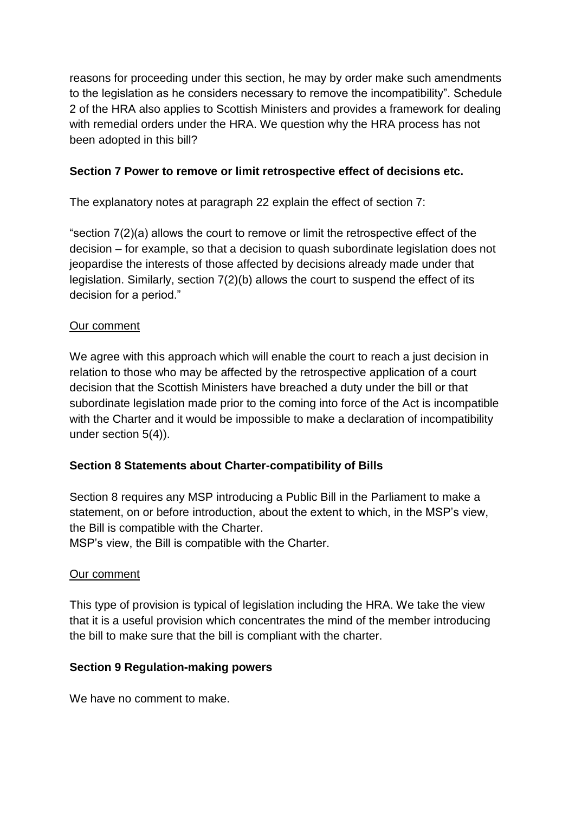reasons for proceeding under this section, he may by order make such amendments to the legislation as he considers necessary to remove the incompatibility". Schedule 2 of the HRA also applies to Scottish Ministers and provides a framework for dealing with remedial orders under the HRA. We question why the HRA process has not been adopted in this bill?

### **Section 7 Power to remove or limit retrospective effect of decisions etc.**

The explanatory notes at paragraph 22 explain the effect of section 7:

"section 7(2)(a) allows the court to remove or limit the retrospective effect of the decision – for example, so that a decision to quash subordinate legislation does not jeopardise the interests of those affected by decisions already made under that legislation. Similarly, section 7(2)(b) allows the court to suspend the effect of its decision for a period."

## Our comment

We agree with this approach which will enable the court to reach a just decision in relation to those who may be affected by the retrospective application of a court decision that the Scottish Ministers have breached a duty under the bill or that subordinate legislation made prior to the coming into force of the Act is incompatible with the Charter and it would be impossible to make a declaration of incompatibility under section 5(4)).

# **Section 8 Statements about Charter-compatibility of Bills**

Section 8 requires any MSP introducing a Public Bill in the Parliament to make a statement, on or before introduction, about the extent to which, in the MSP's view, the Bill is compatible with the Charter.

MSP's view, the Bill is compatible with the Charter.

### Our comment

This type of provision is typical of legislation including the HRA. We take the view that it is a useful provision which concentrates the mind of the member introducing the bill to make sure that the bill is compliant with the charter.

### **Section 9 Regulation-making powers**

We have no comment to make.